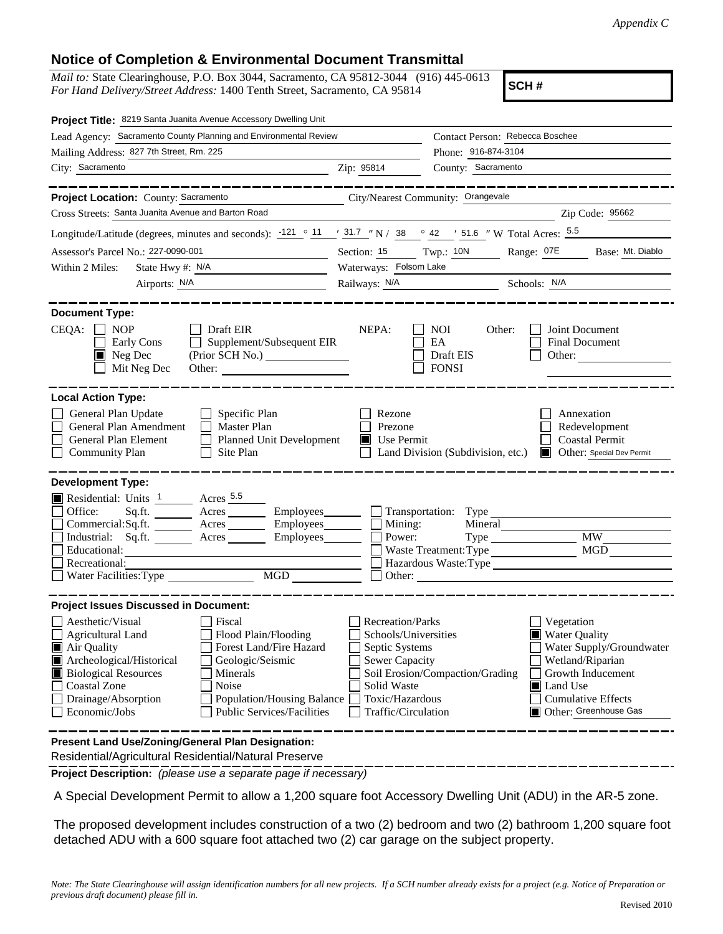## **Notice of Completion & Environmental Document Transmittal**

*Mail to:* State Clearinghouse, P.O. Box 3044, Sacramento, CA 95812-3044 (916) 445-0613 *For Hand Delivery/Street Address:* 1400 Tenth Street, Sacramento, CA 95814

**SCH #**

| Project Title: 8219 Santa Juanita Avenue Accessory Dwelling Unit                                                                                                                                                                                                                                                                                                                                                                                                  |                                                                                                                                              |                                                         |                                                                                                                                                                                    |
|-------------------------------------------------------------------------------------------------------------------------------------------------------------------------------------------------------------------------------------------------------------------------------------------------------------------------------------------------------------------------------------------------------------------------------------------------------------------|----------------------------------------------------------------------------------------------------------------------------------------------|---------------------------------------------------------|------------------------------------------------------------------------------------------------------------------------------------------------------------------------------------|
| Lead Agency: Sacramento County Planning and Environmental Review                                                                                                                                                                                                                                                                                                                                                                                                  | Contact Person: Rebecca Boschee                                                                                                              |                                                         |                                                                                                                                                                                    |
| Mailing Address: 827 7th Street, Rm. 225                                                                                                                                                                                                                                                                                                                                                                                                                          | Phone: 916-874-3104                                                                                                                          |                                                         |                                                                                                                                                                                    |
| City: Sacramento<br><u> 1989 - Johann Barn, mars ann an t-Amhain ann an t-Amhain an t-Amhain an t-Amhain an t-Amhain an t-Amhain an t-</u>                                                                                                                                                                                                                                                                                                                        | Zip: 95814                                                                                                                                   | County: Sacramento                                      |                                                                                                                                                                                    |
|                                                                                                                                                                                                                                                                                                                                                                                                                                                                   |                                                                                                                                              |                                                         | ---------------                                                                                                                                                                    |
| Project Location: County: Sacramento                                                                                                                                                                                                                                                                                                                                                                                                                              | City/Nearest Community: Orangevale                                                                                                           |                                                         |                                                                                                                                                                                    |
| Cross Streets: Santa Juanita Avenue and Barton Road                                                                                                                                                                                                                                                                                                                                                                                                               |                                                                                                                                              |                                                         | Zip Code: 95662                                                                                                                                                                    |
| Longitude/Latitude (degrees, minutes and seconds): $\cdot$ 121 $\circ$ 11 $\cdot$ 31.7 $\cdot$ N / 38 $\circ$ 42 $\cdot$ 51.6 $\cdot$ W Total Acres: $\frac{5.5}{2}$                                                                                                                                                                                                                                                                                              |                                                                                                                                              |                                                         |                                                                                                                                                                                    |
| Assessor's Parcel No.: 227-0090-001                                                                                                                                                                                                                                                                                                                                                                                                                               | Section: 15 Twp.: 10N                                                                                                                        |                                                         | Range: 07E<br>Base: Mt. Diablo                                                                                                                                                     |
| Within 2 Miles:<br>State Hwy #: $N/A$                                                                                                                                                                                                                                                                                                                                                                                                                             | Waterways: Folsom Lake                                                                                                                       |                                                         |                                                                                                                                                                                    |
| Airports: N/A<br><u> 1990 - Johann Barbara, martin a</u>                                                                                                                                                                                                                                                                                                                                                                                                          |                                                                                                                                              | Railways: N/A Schools: N/A                              |                                                                                                                                                                                    |
| <b>Document Type:</b><br>$CEQA: \Box$<br><b>NOP</b><br>Draft EIR<br>Supplement/Subsequent EIR<br>Early Cons<br>$\Box$<br>$\blacksquare$ Neg Dec<br>Mit Neg Dec                                                                                                                                                                                                                                                                                                    | NEPA:                                                                                                                                        | <b>NOI</b><br>Other:<br>EA<br>Draft EIS<br><b>FONSI</b> | Joint Document<br>Final Document<br>Other: $\qquad \qquad$                                                                                                                         |
| <b>Local Action Type:</b><br>General Plan Update<br>Specific Plan<br>General Plan Amendment<br>Master Plan<br>General Plan Element<br>Planned Unit Development<br><b>Community Plan</b><br>Site Plan                                                                                                                                                                                                                                                              | Rezone<br>Prezone<br>$\blacksquare$ Use Permit                                                                                               | Land Division (Subdivision, etc.)                       | Annexation<br>Redevelopment<br><b>Coastal Permit</b><br>Other: Special Dev Permit<br>HE 1                                                                                          |
| <b>Development Type:</b>                                                                                                                                                                                                                                                                                                                                                                                                                                          |                                                                                                                                              |                                                         |                                                                                                                                                                                    |
| Residential: Units 1 Acres 5.5<br>Office:<br>Employees________<br>Commercial: Sq.ft.<br>Acres Employees<br>Industrial: Sq.ft. _______ Acres ________ Employees_______<br>Educational:<br>Recreational:<br>MGD THE MODEL SERVICE STATES OF THE MODEL STATES OF THE MODEL STATES OF THE MODEL STATES OF THE MODEL STATES OF THE MODEL STATES OF THE MODEL STATES OF THE MODEL STATES OF THE MODEL STATES OF THE MODEL STATES OF THE MODEL<br>Water Facilities: Type | Mining:<br>Power:                                                                                                                            | Mineral<br>Waste Treatment: Type<br>Other:              | $Type$ $MW$<br>MGD<br>Hazardous Waste:Type                                                                                                                                         |
| <b>Project Issues Discussed in Document:</b>                                                                                                                                                                                                                                                                                                                                                                                                                      |                                                                                                                                              |                                                         |                                                                                                                                                                                    |
| Aesthetic/Visual<br>Fiscal<br>Flood Plain/Flooding<br><b>Agricultural Land</b><br>Forest Land/Fire Hazard<br>Air Quality<br>Archeological/Historical<br>Geologic/Seismic<br><b>Biological Resources</b><br>Minerals<br><b>Coastal Zone</b><br>Noise<br>Drainage/Absorption<br>Population/Housing Balance<br>Economic/Jobs<br><b>Public Services/Facilities</b>                                                                                                    | Recreation/Parks<br>Schools/Universities<br>Septic Systems<br><b>Sewer Capacity</b><br>Solid Waste<br>Toxic/Hazardous<br>Traffic/Circulation | Soil Erosion/Compaction/Grading                         | Vegetation<br><b>Water Quality</b><br>Water Supply/Groundwater<br>Wetland/Riparian<br>Growth Inducement<br><b>I</b> Land Use<br><b>Cumulative Effects</b><br>Other: Greenhouse Gas |
| Present Land Use/Zoning/General Plan Designation:<br>Residential/Agricultural Residential/Natural Preserve                                                                                                                                                                                                                                                                                                                                                        |                                                                                                                                              |                                                         |                                                                                                                                                                                    |

**Project Description:** *(please use a separate page if necessary)*

A Special Development Permit to allow a 1,200 square foot Accessory Dwelling Unit (ADU) in the AR-5 zone.

The proposed development includes construction of a two (2) bedroom and two (2) bathroom 1,200 square foot detached ADU with a 600 square foot attached two (2) car garage on the subject property.